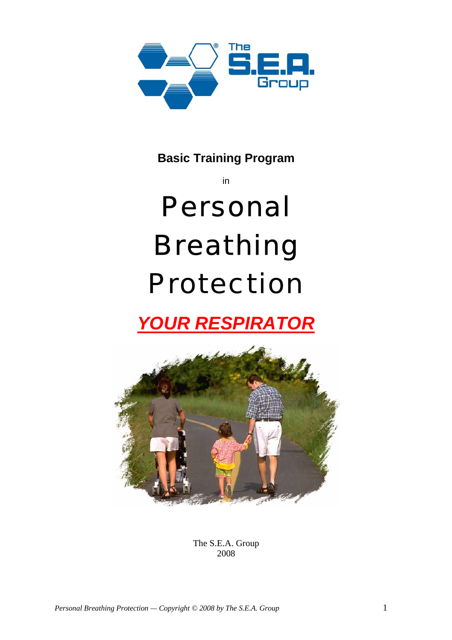

**Basic Training Program**

# in Personal Breathing Protection

## *YOUR RESPIRATOR*



The S.E.A. Group 2008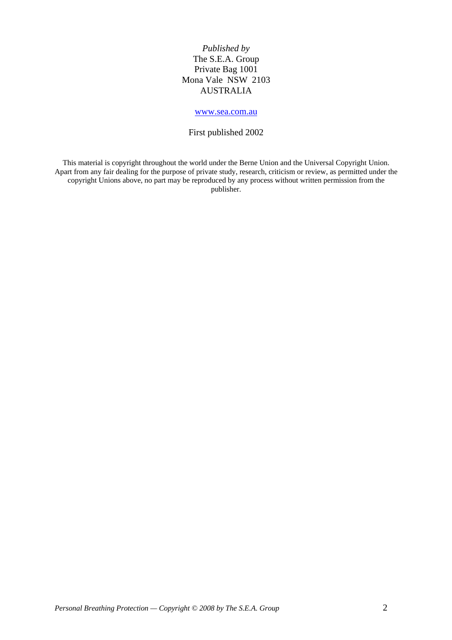*Published by* The S.E.A. Group Private Bag 1001 Mona Vale NSW 2103 AUSTRALIA

#### [www.sea.com.au](http://www.sea.com.au/)

#### First published 2002

This material is copyright throughout the world under the Berne Union and the Universal Copyright Union. Apart from any fair dealing for the purpose of private study, research, criticism or review, as permitted under the copyright Unions above, no part may be reproduced by any process without written permission from the publisher.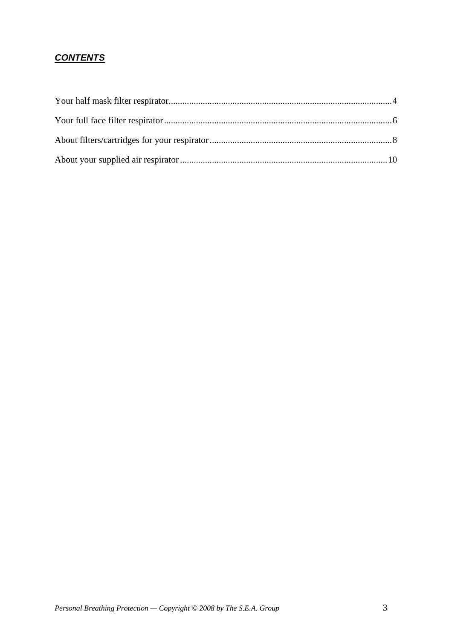#### *CONTENTS*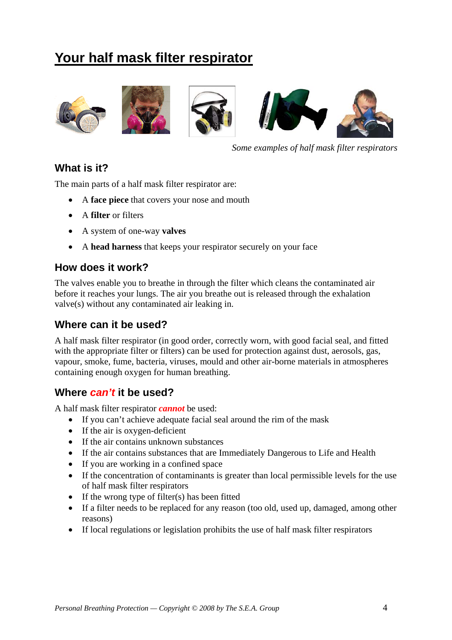## <span id="page-3-0"></span>**Your half mask filter respirator**









*Some examples of half mask filter respirators* 

#### **What is it?**

The main parts of a half mask filter respirator are:

- A **face piece** that covers your nose and mouth
- A **filter** or filters
- A system of one-way **valves**
- A **head harness** that keeps your respirator securely on your face

#### **How does it work?**

The valves enable you to breathe in through the filter which cleans the contaminated air before it reaches your lungs. The air you breathe out is released through the exhalation valve(s) without any contaminated air leaking in.

#### **Where can it be used?**

A half mask filter respirator (in good order, correctly worn, with good facial seal, and fitted with the appropriate filter or filters) can be used for protection against dust, aerosols, gas, vapour, smoke, fume, bacteria, viruses, mould and other air-borne materials in atmospheres containing enough oxygen for human breathing.

#### **Where** *can't* **it be used?**

A half mask filter respirator *cannot* be used:

- If you can't achieve adequate facial seal around the rim of the mask
- If the air is oxygen-deficient
- If the air contains unknown substances
- If the air contains substances that are Immediately Dangerous to Life and Health
- If you are working in a confined space
- If the concentration of contaminants is greater than local permissible levels for the use of half mask filter respirators
- If the wrong type of filter(s) has been fitted
- If a filter needs to be replaced for any reason (too old, used up, damaged, among other reasons)
- If local regulations or legislation prohibits the use of half mask filter respirators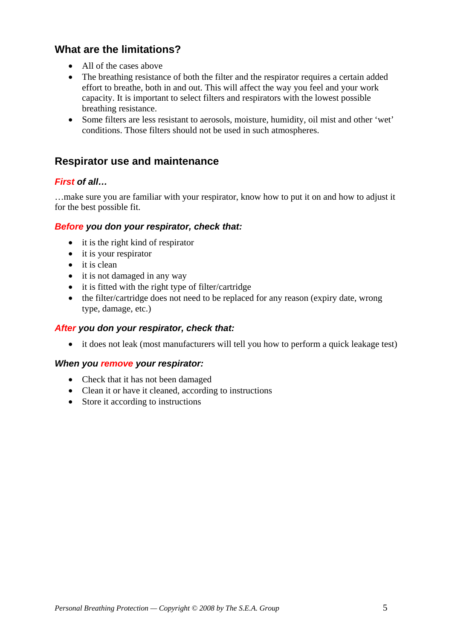#### **What are the limitations?**

- All of the cases above
- The breathing resistance of both the filter and the respirator requires a certain added effort to breathe, both in and out. This will affect the way you feel and your work capacity. It is important to select filters and respirators with the lowest possible breathing resistance.
- Some filters are less resistant to aerosols, moisture, humidity, oil mist and other 'wet' conditions. Those filters should not be used in such atmospheres.

#### **Respirator use and maintenance**

#### *First of all…*

…make sure you are familiar with your respirator, know how to put it on and how to adjust it for the best possible fit.

#### *Before you don your respirator, check that:*

- it is the right kind of respirator
- it is your respirator
- it is clean
- it is not damaged in any way
- it is fitted with the right type of filter/cartridge
- the filter/cartridge does not need to be replaced for any reason (expiry date, wrong type, damage, etc.)

#### *After you don your respirator, check that:*

• it does not leak (most manufacturers will tell you how to perform a quick leakage test)

#### *When you remove your respirator:*

- Check that it has not been damaged
- Clean it or have it cleaned, according to instructions
- Store it according to instructions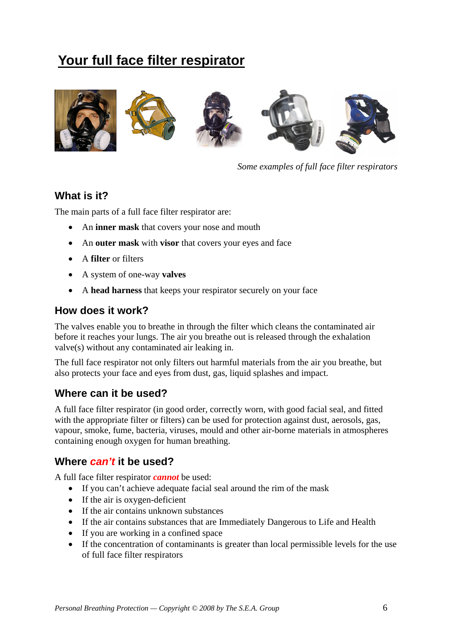## <span id="page-5-0"></span>**Your full face filter respirator**



*Some examples of full face filter respirators* 

#### **What is it?**

The main parts of a full face filter respirator are:

- An **inner mask** that covers your nose and mouth
- An **outer mask** with **visor** that covers your eyes and face
- A **filter** or filters
- A system of one-way **valves**
- A **head harness** that keeps your respirator securely on your face

#### **How does it work?**

The valves enable you to breathe in through the filter which cleans the contaminated air before it reaches your lungs. The air you breathe out is released through the exhalation valve(s) without any contaminated air leaking in.

The full face respirator not only filters out harmful materials from the air you breathe, but also protects your face and eyes from dust, gas, liquid splashes and impact.

#### **Where can it be used?**

A full face filter respirator (in good order, correctly worn, with good facial seal, and fitted with the appropriate filter or filters) can be used for protection against dust, aerosols, gas, vapour, smoke, fume, bacteria, viruses, mould and other air-borne materials in atmospheres containing enough oxygen for human breathing.

#### **Where** *can't* **it be used?**

A full face filter respirator *cannot* be used:

- If you can't achieve adequate facial seal around the rim of the mask
- If the air is oxygen-deficient
- If the air contains unknown substances
- If the air contains substances that are Immediately Dangerous to Life and Health
- If you are working in a confined space
- If the concentration of contaminants is greater than local permissible levels for the use of full face filter respirators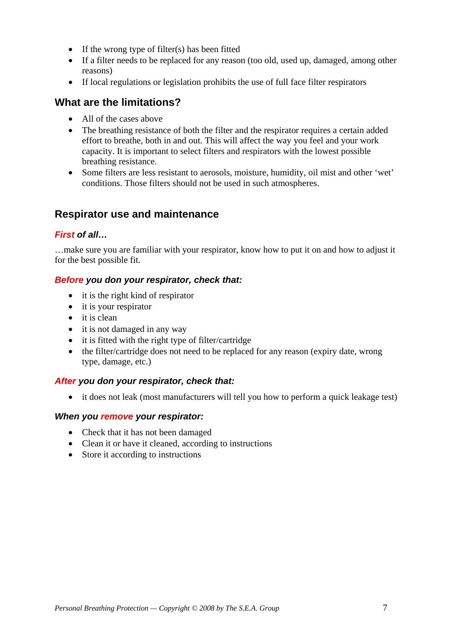- If the wrong type of filter(s) has been fitted
- If a filter needs to be replaced for any reason (too old, used up, damaged, among other reasons)
- If local regulations or legislation prohibits the use of full face filter respirators

#### **What are the limitations?**

- All of the cases above
- The breathing resistance of both the filter and the respirator requires a certain added effort to breathe, both in and out. This will affect the way you feel and your work capacity. It is important to select filters and respirators with the lowest possible breathing resistance.
- Some filters are less resistant to aerosols, moisture, humidity, oil mist and other 'wet' conditions. Those filters should not be used in such atmospheres.

#### **Respirator use and maintenance**

#### *First of all…*

…make sure you are familiar with your respirator, know how to put it on and how to adjust it for the best possible fit.

#### *Before you don your respirator, check that:*

- it is the right kind of respirator
- it is your respirator
- it is clean
- it is not damaged in any way
- it is fitted with the right type of filter/cartridge
- the filter/cartridge does not need to be replaced for any reason (expiry date, wrong type, damage, etc.)

#### *After you don your respirator, check that:*

• it does not leak (most manufacturers will tell you how to perform a quick leakage test)

#### *When you remove your respirator:*

- Check that it has not been damaged
- Clean it or have it cleaned, according to instructions
- Store it according to instructions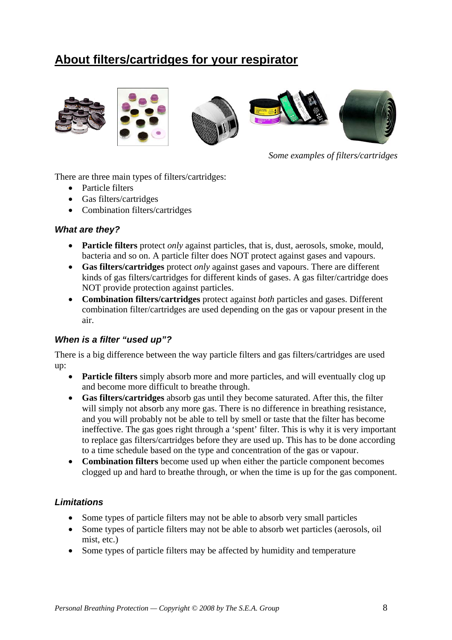## <span id="page-7-0"></span>**About filters/cartridges for your respirator**



*Some examples of filters/cartridges* 

There are three main types of filters/cartridges:

- Particle filters
- Gas filters/cartridges
- Combination filters/cartridges

#### *What are they?*

- **Particle filters** protect *only* against particles, that is, dust, aerosols, smoke, mould, bacteria and so on. A particle filter does NOT protect against gases and vapours.
- **Gas filters/cartridges** protect *only* against gases and vapours. There are different kinds of gas filters/cartridges for different kinds of gases. A gas filter/cartridge does NOT provide protection against particles.
- **Combination filters/cartridges** protect against *both* particles and gases. Different combination filter/cartridges are used depending on the gas or vapour present in the air.

#### *When is a filter "used up"?*

There is a big difference between the way particle filters and gas filters/cartridges are used up:

- **Particle filters** simply absorb more and more particles, and will eventually clog up and become more difficult to breathe through.
- **Gas filters/cartridges** absorb gas until they become saturated. After this, the filter will simply not absorb any more gas. There is no difference in breathing resistance, and you will probably not be able to tell by smell or taste that the filter has become ineffective. The gas goes right through a 'spent' filter. This is why it is very important to replace gas filters/cartridges before they are used up. This has to be done according to a time schedule based on the type and concentration of the gas or vapour.
- **Combination filters** become used up when either the particle component becomes clogged up and hard to breathe through, or when the time is up for the gas component.

#### *Limitations*

- Some types of particle filters may not be able to absorb very small particles
- Some types of particle filters may not be able to absorb wet particles (aerosols, oil mist, etc.)
- Some types of particle filters may be affected by humidity and temperature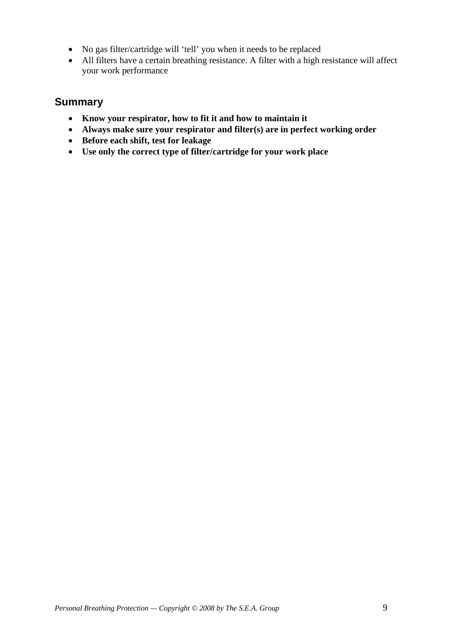- No gas filter/cartridge will 'tell' you when it needs to be replaced
- All filters have a certain breathing resistance. A filter with a high resistance will affect your work performance

#### **Summary**

- **Know your respirator, how to fit it and how to maintain it**
- **Always make sure your respirator and filter(s) are in perfect working order**
- **Before each shift, test for leakage**
- **Use only the correct type of filter/cartridge for your work place**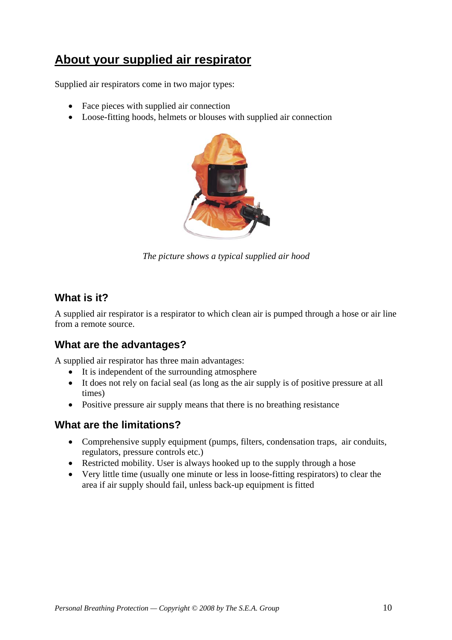### <span id="page-9-0"></span>**About your supplied air respirator**

Supplied air respirators come in two major types:

- Face pieces with supplied air connection
- Loose-fitting hoods, helmets or blouses with supplied air connection



*The picture shows a typical supplied air hood* 

#### **What is it?**

A supplied air respirator is a respirator to which clean air is pumped through a hose or air line from a remote source.

#### **What are the advantages?**

A supplied air respirator has three main advantages:

- It is independent of the surrounding atmosphere
- It does not rely on facial seal (as long as the air supply is of positive pressure at all times)
- Positive pressure air supply means that there is no breathing resistance

#### **What are the limitations?**

- Comprehensive supply equipment (pumps, filters, condensation traps, air conduits, regulators, pressure controls etc.)
- Restricted mobility. User is always hooked up to the supply through a hose
- Very little time (usually one minute or less in loose-fitting respirators) to clear the area if air supply should fail, unless back-up equipment is fitted